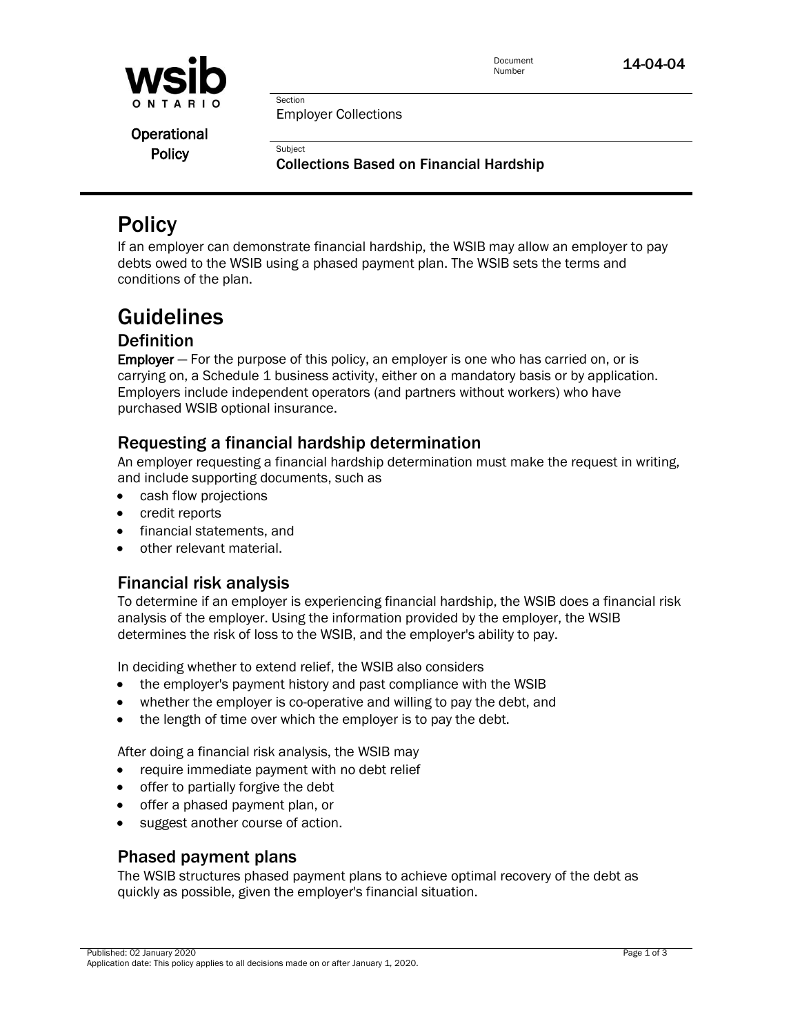

Document

Employer Collections

Section

Subject

**Operational Policy** 

Collections Based on Financial Hardship

# **Policy**

If an employer can demonstrate financial hardship, the WSIB may allow an employer to pay debts owed to the WSIB using a phased payment plan. The WSIB sets the terms and conditions of the plan.

# Guidelines

## **Definition**

Employer - For the purpose of this policy, an employer is one who has carried on, or is carrying on, a Schedule 1 business activity, either on a mandatory basis or by application. Employers include independent operators (and partners without workers) who have purchased WSIB optional insurance.

## Requesting a financial hardship determination

An employer requesting a financial hardship determination must make the request in writing, and include supporting documents, such as

- cash flow projections
- **credit reports**
- **•** financial statements, and
- other relevant material.

# Financial risk analysis

To determine if an employer is experiencing financial hardship, the WSIB does a financial risk analysis of the employer. Using the information provided by the employer, the WSIB determines the risk of loss to the WSIB, and the employer's ability to pay.

In deciding whether to extend relief, the WSIB also considers

- the employer's payment history and past compliance with the WSIB
- whether the employer is co-operative and willing to pay the debt, and
- the length of time over which the employer is to pay the debt.

After doing a financial risk analysis, the WSIB may

- require immediate payment with no debt relief
- offer to partially forgive the debt
- offer a phased payment plan, or
- suggest another course of action.

# Phased payment plans

The WSIB structures phased payment plans to achieve optimal recovery of the debt as quickly as possible, given the employer's financial situation.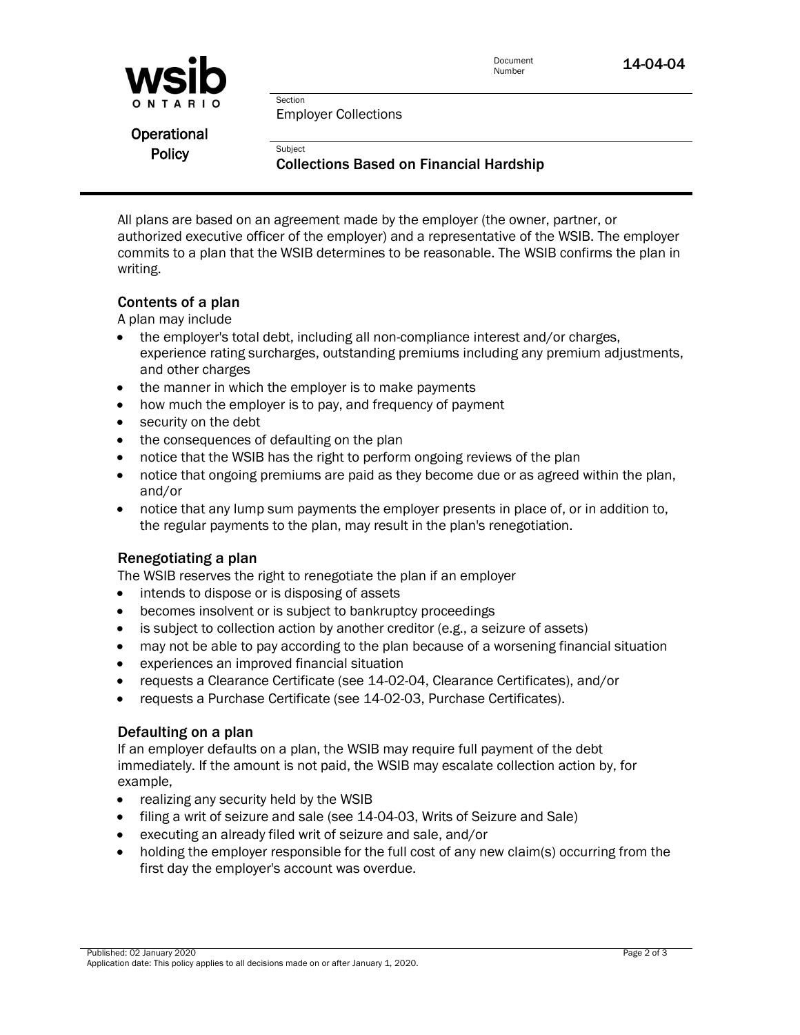

Document

Employer Collections

Section

**Subject** 

**Operational Policy** 

#### Collections Based on Financial Hardship

All plans are based on an agreement made by the employer (the owner, partner, or authorized executive officer of the employer) and a representative of the WSIB. The employer commits to a plan that the WSIB determines to be reasonable. The WSIB confirms the plan in writing.

#### Contents of a plan

A plan may include

- the employer's total debt, including all non-compliance interest and/or charges, experience rating surcharges, outstanding premiums including any premium adjustments, and other charges
- the manner in which the employer is to make payments
- how much the employer is to pay, and frequency of payment
- security on the debt
- the consequences of defaulting on the plan
- notice that the WSIB has the right to perform ongoing reviews of the plan
- notice that ongoing premiums are paid as they become due or as agreed within the plan, and/or
- notice that any lump sum payments the employer presents in place of, or in addition to, the regular payments to the plan, may result in the plan's renegotiation.

#### Renegotiating a plan

The WSIB reserves the right to renegotiate the plan if an employer

- intends to dispose or is disposing of assets
- becomes insolvent or is subject to bankruptcy proceedings
- is subject to collection action by another creditor (e.g., a seizure of assets)
- may not be able to pay according to the plan because of a worsening financial situation
- experiences an improved financial situation
- requests a Clearance Certificate (see 14-02-04, Clearance Certificates), and/or
- requests a Purchase Certificate (see 14-02-03, Purchase Certificates).

#### Defaulting on a plan

If an employer defaults on a plan, the WSIB may require full payment of the debt immediately. If the amount is not paid, the WSIB may escalate collection action by, for example,

- realizing any security held by the WSIB
- filing a writ of seizure and sale (see 14-04-03, Writs of Seizure and Sale)
- executing an already filed writ of seizure and sale, and/or
- holding the employer responsible for the full cost of any new claim(s) occurring from the first day the employer's account was overdue.